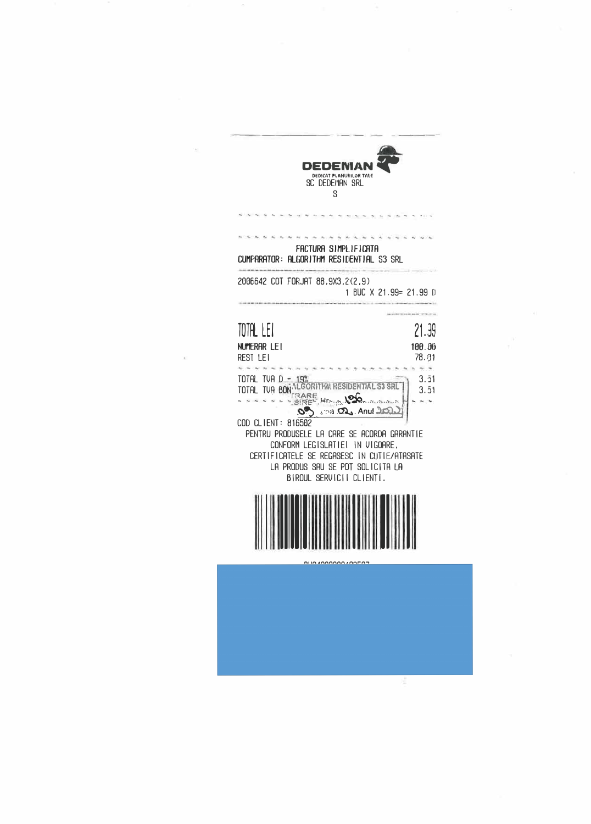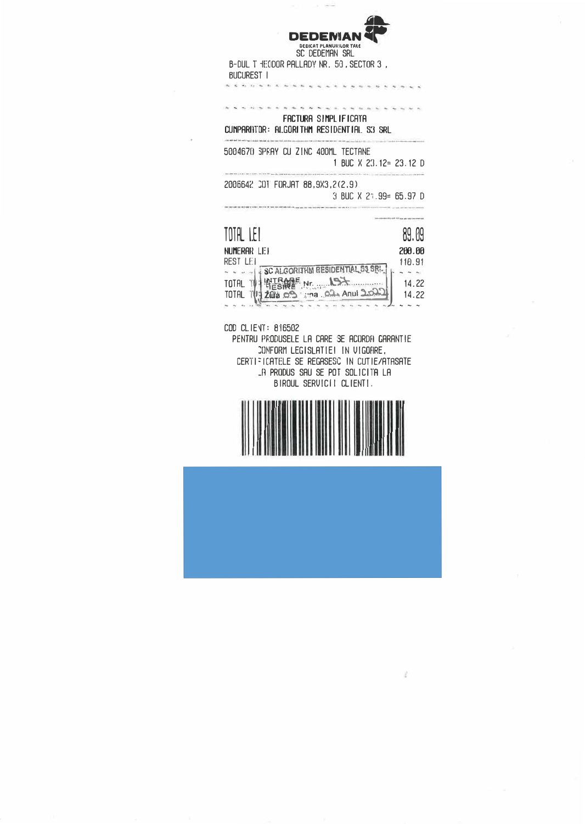

SC DEDEMAN SRL B-DUL T HECDOR PALLADY NR. 50, SECTOR 3, BUCUREST I

## FACTURA SIMPLIFICATA CUMPARHITOR: ALGORITHM RESIDENTIAL S3 SRL

**\*\*\*\*\*\*\*\*\*\*\*\*\*\*\*\*\*\*\*\*\*\*\*\*** 

5004670 SPRAY CU ZINC 400ML TECTANE 1 BUC  $X$  23.12= 23.12 D

2006642 COT FORJAT 88,9X3,2(2.9) 3 BUC X 21.99= 65.97 D

| TOTAL LET                               | 89.09  |
|-----------------------------------------|--------|
| NUMERAR LET                             | 200.00 |
| REST LET                                | 110.91 |
| SC ALGORITHM RESIDENTIAL S3 SRL.        |        |
| ATRAVE Nr. 197<br>TOTAL                 | 14.22  |
| 2018 09 ma 02 Anul 2022<br><b>TOTAL</b> | 14.22  |
|                                         |        |

COD CLIENT: 816502

the last dist the cost lies is a sixt for

**PERMIT AND RELEASE REPORT OF THE CONTRACTOR** 

PENTRU PRODUSELE LA CARE SE ACORDA GARANTIE CONFORM LEGISLATIE! IN VIGORRE, CERTIFICATELE SE REGASESC IN CUTIE/ATASATE LA PRODUS SAU SE POT SOLICITA LA BIROUL SERVICII CLIENTI.



V